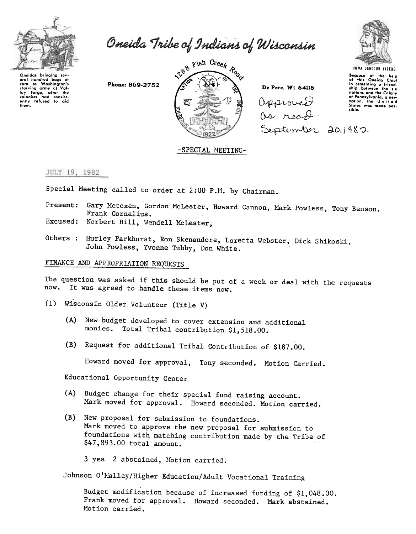

Oneida Tribe of Indians of Wisconsin

Onoidas bringing sovoral hundred bags of<br>corn to Washington's corn to Washington's<br>starving army at Val-<br>loy forge, after the<br>colonists had consist-<br>ently refused to aid<br>thom.

Phone: 869-2752



 $S$ epten $\Phi$ ler 201982 De Pere, WI 54115 Capproved as read



UGWA OEHOlUH YATEHE Because of the help<br>of this Oneida Chiof<br>in comonting a friend<br>ship between the six<br>notions and the Colony of Pennsylvania, a new<br>nation, the United<br>States was made poslib/..

## -SPECIAL MEETING-

## JULY 19, 1982

Special Meeting called to order at 2:00 P.M. by Chairman.

- Present: Gary Metoxen, Gordon McLester, Howard Cannon, Mark Powless, Tony Benson. Frank Cornelius.
- Excused: Norbert Hill, Wendell McLester,
- Others : Hurley Parkhurst, Ron Skenandore, Loretta Webster, Dick Shikoski, John Powless, Yvonne Tubby, Don White.

# FINANCE AND APPROPRIATION REQUESTS

The question was asked if this should be put of a week or deal with the requests now. It was agreed to handle these items now.

- (1) Wisconsin Older Volunteer (Title V)
	- (A) New budget developed to cover extension and additional monies. Total Tribal contribution \$1,518.00.
	- (B) Request for additional Tribal Contribution of \$187.00.

Howard moved for approval, Tony seconded. Motion Carried.

Educational Opportunity Center

- (A) Budget change for their special fund raising account. Mark moved for approval. Howard seconded. Motion carried.
- (B) New proposal for submission to foundations. Mark moved to approve the new proposal for submission to foundations with matching contribution made by the Tribe of \$47,893.00 total amount.

3 yes 2 abstained, Motion carried.

Johnson O'Malley/Higher Education/Adult Vocational Training

Budget modification because of increased funding of \$1,048.00. Frank moved for approval. Howard seconded. Mark abstained. Motion carried.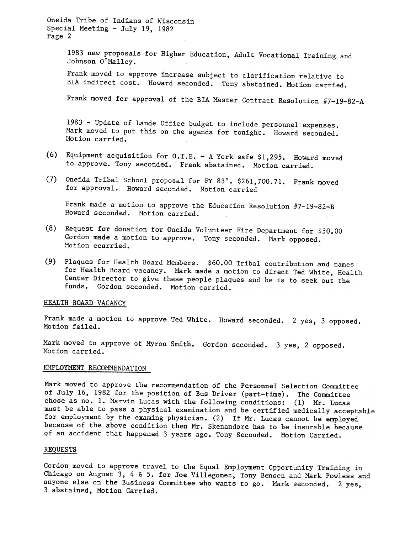Oneida Tribe of Indians of Wisconsin Special Meeting - July 19, 1982 Page 2

> 1983 new proposals for Higher Education, Adult Vocational Training and Johnson O'Malley.

Frank moved to approve increase subject to clarification relative to BIA indirect cost. Howard seconded. Tony abstained. Motion carried.

Frank moved for approval of the BIA Master Contract Resolution  $#7-19-82-A$ 

1983 - Update of Lande Office budget to include personnel expenses. Mark moved to put this on the agenda for tonight. Howard seconded. Motion carried.

- (6) Equipment acquisition for  $0.T.E. A$  York safe \$1,295. Howard moved to approve. Tony seconded. Frank abstained. Motion carried.
- (7) Oneida Tribal School proposal for FY 83'. \$261,700.71. Frank moved for approval. Howard seconded. Motion carried

Frank made a motion to approve the Education Resolution  $#7-19-82-B$ Howard seconded. Motion carried.

- (8) Request for donation for Oneida Volunteer Fire Department for \$50.00 Gordon made a motion to approve. Tony seconded. Mark opposed. Motion ccarried.
- (9) Plaques for Health Board Members. \$60.00 Tribal contribution and names for Health Board vacancy. Mark made a motion to direct Ted White, Health Center Director to give these people plaques and he is to seek out the funds. Gordon seconded. Motion carried.

#### HEALTH BOARD VACANCY

Frank made a motion to approve Ted White. Howard seconded. 2 yes, 3 opposed. Motion failed.

Mark moved to approve of Myron Smith. Gordon seconded. 3 yes, 2 oppose Motion carried.

# EMPLOYMENT RECOMMENDATION

Mark moved to approve the recommendation of the Personnel Selection Committee of July 16, 1982 for the position of Bus Driver (part-time). The Committee chose as no. 1. Marvin Lucas with the following conditions: (1) Mr. Lucas must be able to pass a physical examination and be certified medically acceptable for employment by the examing physician. (2) If Mr. Lucas cannot be employed because of the above condition then Mr. Skenandore has to be insurable because of an accident that happened 3 years ago. Tony Seconded. Motion Carried.

## REQUESTS

Gordon moved to approve travel to the Equal Employment Opportunity Training in Chicago on August 3, 4 & 5. for Joe Villegomez, Tony Benson and Mark Powless and anyone else on the Business Committee who wants to go. Mark seconded. 2 yes, 3 abstained, Motion Carried.